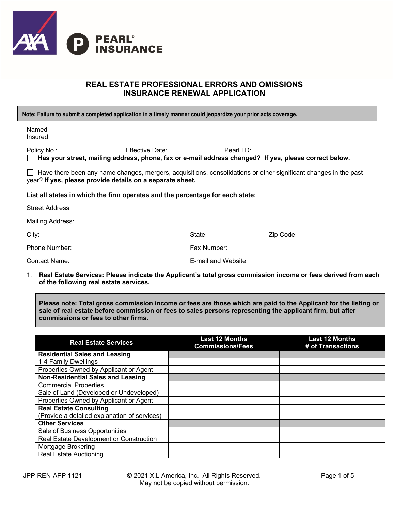

## **REAL ESTATE PROFESSIONAL ERRORS AND OMISSIONS INSURANCE RENEWAL APPLICATION**

| Note: Failure to submit a completed application in a timely manner could jeopardize your prior acts coverage.                                                                        |                                                                                                              |                     |           |  |
|--------------------------------------------------------------------------------------------------------------------------------------------------------------------------------------|--------------------------------------------------------------------------------------------------------------|---------------------|-----------|--|
| Named<br>Insured:                                                                                                                                                                    |                                                                                                              |                     |           |  |
| Policy No.:                                                                                                                                                                          |                                                                                                              |                     |           |  |
|                                                                                                                                                                                      | $\Box$ Has your street, mailing address, phone, fax or e-mail address changed? If yes, please correct below. |                     |           |  |
| $\Box$ Have there been any name changes, mergers, acquisitions, consolidations or other significant changes in the past<br>year? If yes, please provide details on a separate sheet. |                                                                                                              |                     |           |  |
| List all states in which the firm operates and the percentage for each state:                                                                                                        |                                                                                                              |                     |           |  |
| <b>Street Address:</b>                                                                                                                                                               |                                                                                                              |                     |           |  |
| Mailing Address:                                                                                                                                                                     |                                                                                                              |                     |           |  |
| City:                                                                                                                                                                                |                                                                                                              | State:              | Zip Code: |  |
| Phone Number:                                                                                                                                                                        |                                                                                                              | Fax Number:         |           |  |
| Contact Name:                                                                                                                                                                        |                                                                                                              | E-mail and Website: |           |  |

1. **Real Estate Services: Please indicate the Applicant's total gross commission income or fees derived from each of the following real estate services.**

**Please note: Total gross commission income or fees are those which are paid to the Applicant for the listing or sale of real estate before commission or fees to sales persons representing the applicant firm, but after commissions or fees to other firms.**

| <b>Real Estate Services</b>                  | <b>Last 12 Months</b><br><b>Commissions/Fees</b> | <b>Last 12 Months</b><br># of Transactions |
|----------------------------------------------|--------------------------------------------------|--------------------------------------------|
| <b>Residential Sales and Leasing</b>         |                                                  |                                            |
| 1-4 Family Dwellings                         |                                                  |                                            |
| Properties Owned by Applicant or Agent       |                                                  |                                            |
| <b>Non-Residential Sales and Leasing</b>     |                                                  |                                            |
| <b>Commercial Properties</b>                 |                                                  |                                            |
| Sale of Land (Developed or Undeveloped)      |                                                  |                                            |
| Properties Owned by Applicant or Agent       |                                                  |                                            |
| <b>Real Estate Consulting</b>                |                                                  |                                            |
| (Provide a detailed explanation of services) |                                                  |                                            |
| <b>Other Services</b>                        |                                                  |                                            |
| Sale of Business Opportunities               |                                                  |                                            |
| Real Estate Development or Construction      |                                                  |                                            |
| Mortgage Brokering                           |                                                  |                                            |
| <b>Real Estate Auctioning</b>                |                                                  |                                            |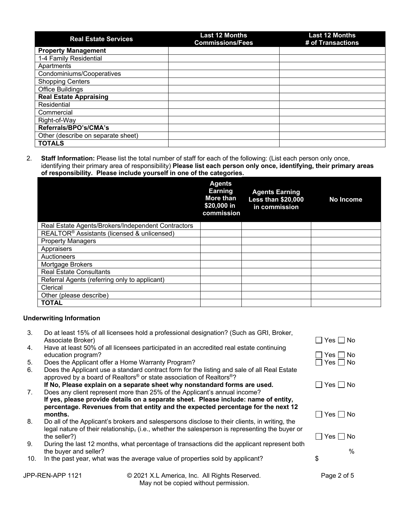| <b>Real Estate Services</b>        | <b>Last 12 Months</b><br><b>Commissions/Fees</b> | <b>Last 12 Months</b><br># of Transactions |
|------------------------------------|--------------------------------------------------|--------------------------------------------|
| <b>Property Management</b>         |                                                  |                                            |
| 1-4 Family Residential             |                                                  |                                            |
| Apartments                         |                                                  |                                            |
| Condominiums/Cooperatives          |                                                  |                                            |
| <b>Shopping Centers</b>            |                                                  |                                            |
| <b>Office Buildings</b>            |                                                  |                                            |
| <b>Real Estate Appraising</b>      |                                                  |                                            |
| Residential                        |                                                  |                                            |
| Commercial                         |                                                  |                                            |
| Right-of-Way                       |                                                  |                                            |
| Referrals/BPO's/CMA's              |                                                  |                                            |
| Other (describe on separate sheet) |                                                  |                                            |
| <b>TOTALS</b>                      |                                                  |                                            |

2. **Staff Information:** Please list the total number of staff for each of the following: (List each person only once, identifying their primary area of responsibility) **Please list each person only once, identifying, their primary areas of responsibility. Please include yourself in one of the categories.**

|                                                         | <b>Agents</b><br><b>Earning</b><br>More than<br>\$20,000 in<br>commission | <b>Agents Earning</b><br><b>Less than \$20,000</b><br>in commission | <b>No Income</b> |
|---------------------------------------------------------|---------------------------------------------------------------------------|---------------------------------------------------------------------|------------------|
| Real Estate Agents/Brokers/Independent Contractors      |                                                                           |                                                                     |                  |
| REALTOR <sup>®</sup> Assistants (licensed & unlicensed) |                                                                           |                                                                     |                  |
| <b>Property Managers</b>                                |                                                                           |                                                                     |                  |
| Appraisers                                              |                                                                           |                                                                     |                  |
| Auctioneers                                             |                                                                           |                                                                     |                  |
| Mortgage Brokers                                        |                                                                           |                                                                     |                  |
| <b>Real Estate Consultants</b>                          |                                                                           |                                                                     |                  |
| Referral Agents (referring only to applicant)           |                                                                           |                                                                     |                  |
| Clerical                                                |                                                                           |                                                                     |                  |
| Other (please describe)                                 |                                                                           |                                                                     |                  |
| <b>TOTAL</b>                                            |                                                                           |                                                                     |                  |

## **Underwriting Information**

| 3.  | Associate Broker)     | Do at least 15% of all licensees hold a professional designation? (Such as GRI, Broker,                                                                                                     | Yes     No      |  |
|-----|-----------------------|---------------------------------------------------------------------------------------------------------------------------------------------------------------------------------------------|-----------------|--|
| 4.  | education program?    | Have at least 50% of all licensees participated in an accredited real estate continuing                                                                                                     | - I No<br>Yes I |  |
| 5.  |                       | Does the Applicant offer a Home Warranty Program?                                                                                                                                           | No.<br>Yes      |  |
| 6.  |                       | Does the Applicant use a standard contract form for the listing and sale of all Real Estate<br>approved by a board of Realtors <sup>®</sup> or state association of Realtors <sup>®</sup> ? |                 |  |
|     |                       | If No, Please explain on a separate sheet why nonstandard forms are used.                                                                                                                   | Yes No          |  |
| 7.  |                       | Does any client represent more than 25% of the Applicant's annual income?                                                                                                                   |                 |  |
|     |                       | If yes, please provide details on a separate sheet. Please include: name of entity,                                                                                                         |                 |  |
|     |                       | percentage. Revenues from that entity and the expected percentage for the next 12                                                                                                           |                 |  |
|     | months.               |                                                                                                                                                                                             | Yes I INo       |  |
| 8.  |                       | Do all of the Applicant's brokers and salespersons disclose to their clients, in writing, the                                                                                               |                 |  |
|     |                       | legal nature of their relationship, (i.e., whether the salesperson is representing the buyer or                                                                                             |                 |  |
|     | the seller?)          |                                                                                                                                                                                             | Yes I INo       |  |
| 9.  |                       | During the last 12 months, what percentage of transactions did the applicant represent both                                                                                                 |                 |  |
|     | the buyer and seller? |                                                                                                                                                                                             | %               |  |
| 10. |                       | In the past year, what was the average value of properties sold by applicant?                                                                                                               | \$              |  |
|     |                       |                                                                                                                                                                                             |                 |  |
|     | JPP-REN-APP 1121      | © 2021 X.L America, Inc. All Rights Reserved.                                                                                                                                               | Page 2 of 5     |  |

May not be copied without permission.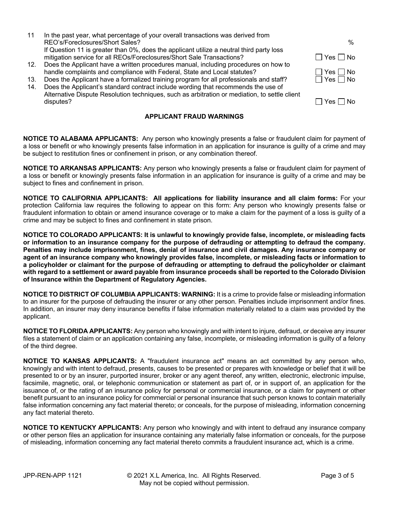- 11 In the past year, what percentage of your overall transactions was derived from REO's/Foreclosures/Short Sales? % If Question 11 is greater than 0%, does the applicant utilize a neutral third party loss mitigation service for all REOs/Foreclosures/Short Sale Transactions?  $\Box$  Yes  $\Box$  Yes  $\Box$  No 12. Does the Applicant have a written procedures manual, including procedures on how to
- handle complaints and compliance with Federal, State and Local statutes?  $\Box$  Yes  $\Box$  No
- 13. Does the Applicant have a formalized training program for all professionals and staff?  $\Box$  Yes  $\Box$  No
- 14. Does the Applicant's standard contract include wording that recommends the use of Alternative Dispute Resolution techniques, such as arbitration or mediation, to settle client  $\Box$  Yes  $\Box$  No

## **APPLICANT FRAUD WARNINGS**

**NOTICE TO ALABAMA APPLICANTS:** Any person who knowingly presents a false or fraudulent claim for payment of a loss or benefit or who knowingly presents false information in an application for insurance is guilty of a crime and may be subject to restitution fines or confinement in prison, or any combination thereof.

**NOTICE TO ARKANSAS APPLICANTS:** Any person who knowingly presents a false or fraudulent claim for payment of a loss or benefit or knowingly presents false information in an application for insurance is guilty of a crime and may be subject to fines and confinement in prison.

**NOTICE TO CALIFORNIA APPLICANTS: All applications for liability insurance and all claim forms:** For your protection California law requires the following to appear on this form: Any person who knowingly presents false or fraudulent information to obtain or amend insurance coverage or to make a claim for the payment of a loss is guilty of a crime and may be subject to fines and confinement in state prison.

**NOTICE TO COLORADO APPLICANTS: It is unlawful to knowingly provide false, incomplete, or misleading facts or information to an insurance company for the purpose of defrauding or attempting to defraud the company. Penalties may include imprisonment, fines, denial of insurance and civil damages. Any insurance company or agent of an insurance company who knowingly provides false, incomplete, or misleading facts or information to a policyholder or claimant for the purpose of defrauding or attempting to defraud the policyholder or claimant with regard to a settlement or award payable from insurance proceeds shall be reported to the Colorado Division of Insurance within the Department of Regulatory Agencies.**

**NOTICE TO DISTRICT OF COLUMBIA APPLICANTS: WARNING:** It is a crime to provide false or misleading information to an insurer for the purpose of defrauding the insurer or any other person. Penalties include imprisonment and/or fines. In addition, an insurer may deny insurance benefits if false information materially related to a claim was provided by the applicant.

**NOTICE TO FLORIDA APPLICANTS:** Any person who knowingly and with intent to injure, defraud, or deceive any insurer files a statement of claim or an application containing any false, incomplete, or misleading information is guilty of a felony of the third degree.

**NOTICE TO KANSAS APPLICANTS:** A "fraudulent insurance act" means an act committed by any person who, knowingly and with intent to defraud, presents, causes to be presented or prepares with knowledge or belief that it will be presented to or by an insurer, purported insurer, broker or any agent thereof, any written, electronic, electronic impulse, facsimile, magnetic, oral, or telephonic communication or statement as part of, or in support of, an application for the issuance of, or the rating of an insurance policy for personal or commercial insurance, or a claim for payment or other benefit pursuant to an insurance policy for commercial or personal insurance that such person knows to contain materially false information concerning any fact material thereto; or conceals, for the purpose of misleading, information concerning any fact material thereto.

**NOTICE TO KENTUCKY APPLICANTS:** Any person who knowingly and with intent to defraud any insurance company or other person files an application for insurance containing any materially false information or conceals, for the purpose of misleading, information concerning any fact material thereto commits a fraudulent insurance act, which is a crime.

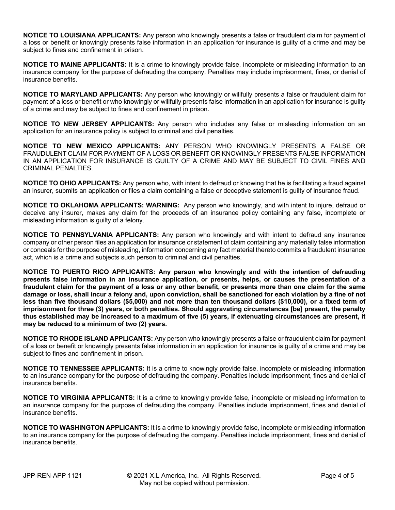**NOTICE TO LOUISIANA APPLICANTS:** Any person who knowingly presents a false or fraudulent claim for payment of a loss or benefit or knowingly presents false information in an application for insurance is guilty of a crime and may be subject to fines and confinement in prison.

**NOTICE TO MAINE APPLICANTS:** It is a crime to knowingly provide false, incomplete or misleading information to an insurance company for the purpose of defrauding the company. Penalties may include imprisonment, fines, or denial of insurance benefits.

**NOTICE TO MARYLAND APPLICANTS:** Any person who knowingly or willfully presents a false or fraudulent claim for payment of a loss or benefit or who knowingly or willfully presents false information in an application for insurance is guilty of a crime and may be subject to fines and confinement in prison.

**NOTICE TO NEW JERSEY APPLICANTS:** Any person who includes any false or misleading information on an application for an insurance policy is subject to criminal and civil penalties.

**NOTICE TO NEW MEXICO APPLICANTS:** ANY PERSON WHO KNOWINGLY PRESENTS A FALSE OR FRAUDULENT CLAIM FOR PAYMENT OF A LOSS OR BENEFIT OR KNOWINGLY PRESENTS FALSE INFORMATION IN AN APPLICATION FOR INSURANCE IS GUILTY OF A CRIME AND MAY BE SUBJECT TO CIVIL FINES AND CRIMINAL PENALTIES.

**NOTICE TO OHIO APPLICANTS:** Any person who, with intent to defraud or knowing that he is facilitating a fraud against an insurer, submits an application or files a claim containing a false or deceptive statement is guilty of insurance fraud.

**NOTICE TO OKLAHOMA APPLICANTS: WARNING:** Any person who knowingly, and with intent to injure, defraud or deceive any insurer, makes any claim for the proceeds of an insurance policy containing any false, incomplete or misleading information is guilty of a felony.

**NOTICE TO PENNSYLVANIA APPLICANTS:** Any person who knowingly and with intent to defraud any insurance company or other person files an application for insurance or statement of claim containing any materially false information or conceals for the purpose of misleading, information concerning any fact material thereto commits a fraudulent insurance act, which is a crime and subjects such person to criminal and civil penalties.

**NOTICE TO PUERTO RICO APPLICANTS: Any person who knowingly and with the intention of defrauding presents false information in an insurance application, or presents, helps, or causes the presentation of a fraudulent claim for the payment of a loss or any other benefit, or presents more than one claim for the same damage or loss, shall incur a felony and, upon conviction, shall be sanctioned for each violation by a fine of not**  less than five thousand dollars (\$5,000) and not more than ten thousand dollars (\$10,000), or a fixed term of **imprisonment for three (3) years, or both penalties. Should aggravating circumstances [be] present, the penalty thus established may be increased to a maximum of five (5) years, if extenuating circumstances are present, it may be reduced to a minimum of two (2) years.**

**NOTICE TO RHODE ISLAND APPLICANTS:** Any person who knowingly presents a false or fraudulent claim for payment of a loss or benefit or knowingly presents false information in an application for insurance is guilty of a crime and may be subject to fines and confinement in prison.

**NOTICE TO TENNESSEE APPLICANTS:** It is a crime to knowingly provide false, incomplete or misleading information to an insurance company for the purpose of defrauding the company. Penalties include imprisonment, fines and denial of insurance benefits.

**NOTICE TO VIRGINIA APPLICANTS:** It is a crime to knowingly provide false, incomplete or misleading information to an insurance company for the purpose of defrauding the company. Penalties include imprisonment, fines and denial of insurance benefits.

**NOTICE TO WASHINGTON APPLICANTS:** It is a crime to knowingly provide false, incomplete or misleading information to an insurance company for the purpose of defrauding the company. Penalties include imprisonment, fines and denial of insurance benefits.